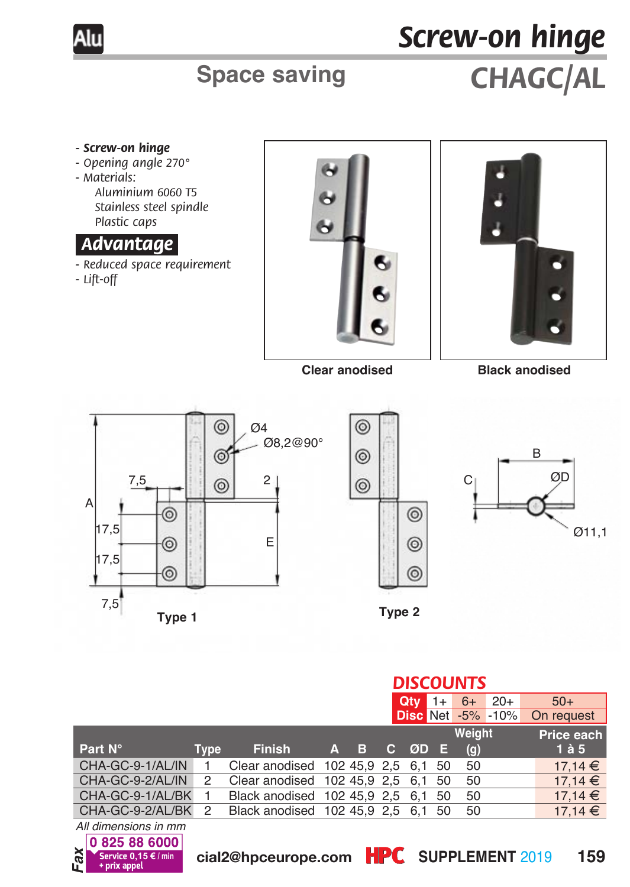

# **Space saving** *CHAGC/AL Screw-on hinge*

#### *- Screw-on hinge*

- *Opening angle 270°*
- *Materials: Aluminium 6060 T5 Stainless steel spindle Plastic caps*

#### *Advantage.*

- *Reduced space requirement*
- *Lift-off*



**Clear anodised Black anodised**







|                      |      |                                    |       | <b>DISCOUNTS</b> |          |  |      |                          |  |                  |
|----------------------|------|------------------------------------|-------|------------------|----------|--|------|--------------------------|--|------------------|
|                      |      |                                    |       |                  | $Qtv$ 1+ |  | $6+$ | $20+$                    |  | $50+$            |
|                      |      |                                    |       |                  |          |  |      | <b>Disc Net -5% -10%</b> |  | On request       |
|                      |      |                                    |       |                  | Weight   |  |      |                          |  | Price each       |
| Part N°              | Type | <b>Finish</b>                      | $A$ B |                  | C ØD E   |  | (g)  |                          |  | $1\ \text{à}\ 5$ |
| CHA-GC-9-1/AL/IN     |      | Clear anodised 102 45,9 2,5 6,1 50 |       |                  |          |  | 50   |                          |  | 17.14 €          |
| CHA-GC-9-2/AL/IN     | 2    | Clear anodised 102 45,9 2,5 6,1 50 |       |                  |          |  | 50   |                          |  | 17,14 €          |
| CHA-GC-9-1/AL/BK     |      | Black anodised 102 45,9 2,5 6,1 50 |       |                  |          |  | 50   |                          |  | $17,14 \in$      |
| CHA-GC-9-2/AL/BK     | 2    | Black anodised 102 45,9 2,5 6,1 50 |       |                  |          |  | 50   |                          |  | $17,14 \in$      |
| All dimensions in mm |      |                                    |       |                  |          |  |      |                          |  |                  |

0825886000 *Fax*

**0,15 €/min** cial2@hpceurope.com HPC SUPPLEMENT 2019 159